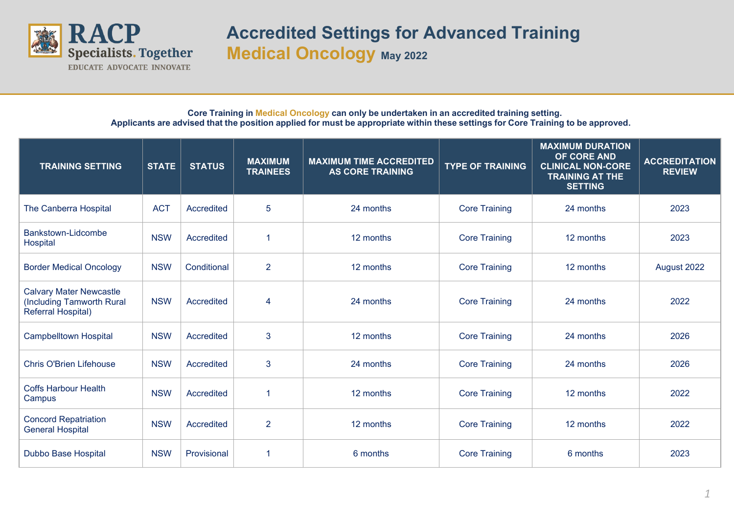

## **Accredited Settings for Advanced Training Medical Oncology May 2022**

## **Core Training in Medical Oncology can only be undertaken in an accredited training setting.** Applicants are advised that the position applied for must be appropriate within these settings for Core Training to be approved.

| <b>TRAINING SETTING</b>                                                           | <b>STATE</b> | <b>STATUS</b> | <b>MAXIMUM</b><br><b>TRAINEES</b> | <b>MAXIMUM TIME ACCREDITED</b><br><b>AS CORE TRAINING</b> | <b>TYPE OF TRAINING</b> | <b>MAXIMUM DURATION</b><br>OF CORE AND<br><b>CLINICAL NON-CORE</b><br><b>TRAINING AT THE</b><br><b>SETTING</b> | <b>ACCREDITATION</b><br><b>REVIEW</b> |
|-----------------------------------------------------------------------------------|--------------|---------------|-----------------------------------|-----------------------------------------------------------|-------------------------|----------------------------------------------------------------------------------------------------------------|---------------------------------------|
| The Canberra Hospital                                                             | <b>ACT</b>   | Accredited    | 5                                 | 24 months                                                 | <b>Core Training</b>    | 24 months                                                                                                      | 2023                                  |
| Bankstown-Lidcombe<br>Hospital                                                    | <b>NSW</b>   | Accredited    | 1                                 | 12 months                                                 | <b>Core Training</b>    | 12 months                                                                                                      | 2023                                  |
| <b>Border Medical Oncology</b>                                                    | <b>NSW</b>   | Conditional   | $\overline{2}$                    | 12 months                                                 | <b>Core Training</b>    | 12 months                                                                                                      | August 2022                           |
| <b>Calvary Mater Newcastle</b><br>(Including Tamworth Rural<br>Referral Hospital) | <b>NSW</b>   | Accredited    | 4                                 | 24 months                                                 | <b>Core Training</b>    | 24 months                                                                                                      | 2022                                  |
| <b>Campbelltown Hospital</b>                                                      | <b>NSW</b>   | Accredited    | 3                                 | 12 months                                                 | <b>Core Training</b>    | 24 months                                                                                                      | 2026                                  |
| <b>Chris O'Brien Lifehouse</b>                                                    | <b>NSW</b>   | Accredited    | 3                                 | 24 months                                                 | <b>Core Training</b>    | 24 months                                                                                                      | 2026                                  |
| <b>Coffs Harbour Health</b><br>Campus                                             | <b>NSW</b>   | Accredited    | 1                                 | 12 months                                                 | <b>Core Training</b>    | 12 months                                                                                                      | 2022                                  |
| <b>Concord Repatriation</b><br><b>General Hospital</b>                            | <b>NSW</b>   | Accredited    | $\overline{2}$                    | 12 months                                                 | <b>Core Training</b>    | 12 months                                                                                                      | 2022                                  |
| Dubbo Base Hospital                                                               | <b>NSW</b>   | Provisional   | 1                                 | 6 months                                                  | <b>Core Training</b>    | 6 months                                                                                                       | 2023                                  |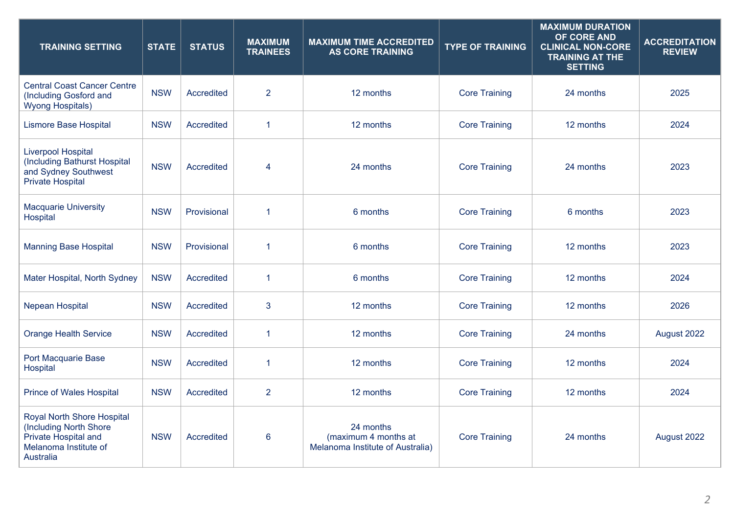| <b>TRAINING SETTING</b>                                                                                                   | <b>STATE</b> | <b>STATUS</b> | <b>MAXIMUM</b><br><b>TRAINEES</b> | <b>MAXIMUM TIME ACCREDITED</b><br><b>AS CORE TRAINING</b>             | <b>TYPE OF TRAINING</b> | <b>MAXIMUM DURATION</b><br>OF CORE AND<br><b>CLINICAL NON-CORE</b><br><b>TRAINING AT THE</b><br><b>SETTING</b> | <b>ACCREDITATION</b><br><b>REVIEW</b> |
|---------------------------------------------------------------------------------------------------------------------------|--------------|---------------|-----------------------------------|-----------------------------------------------------------------------|-------------------------|----------------------------------------------------------------------------------------------------------------|---------------------------------------|
| <b>Central Coast Cancer Centre</b><br>(Including Gosford and<br><b>Wyong Hospitals)</b>                                   | <b>NSW</b>   | Accredited    | $\overline{2}$                    | 12 months                                                             | <b>Core Training</b>    | 24 months                                                                                                      | 2025                                  |
| <b>Lismore Base Hospital</b>                                                                                              | <b>NSW</b>   | Accredited    | $\mathbf{1}$                      | 12 months                                                             | <b>Core Training</b>    | 12 months                                                                                                      | 2024                                  |
| <b>Liverpool Hospital</b><br>(Including Bathurst Hospital<br>and Sydney Southwest<br><b>Private Hospital</b>              | <b>NSW</b>   | Accredited    | 4                                 | 24 months                                                             | <b>Core Training</b>    | 24 months                                                                                                      | 2023                                  |
| <b>Macquarie University</b><br>Hospital                                                                                   | <b>NSW</b>   | Provisional   | $\mathbf{1}$                      | 6 months                                                              | <b>Core Training</b>    | 6 months                                                                                                       | 2023                                  |
| <b>Manning Base Hospital</b>                                                                                              | <b>NSW</b>   | Provisional   | $\mathbf{1}$                      | 6 months                                                              | <b>Core Training</b>    | 12 months                                                                                                      | 2023                                  |
| Mater Hospital, North Sydney                                                                                              | <b>NSW</b>   | Accredited    | $\mathbf{1}$                      | 6 months                                                              | <b>Core Training</b>    | 12 months                                                                                                      | 2024                                  |
| Nepean Hospital                                                                                                           | <b>NSW</b>   | Accredited    | 3                                 | 12 months                                                             | <b>Core Training</b>    | 12 months                                                                                                      | 2026                                  |
| <b>Orange Health Service</b>                                                                                              | <b>NSW</b>   | Accredited    | $\mathbf{1}$                      | 12 months                                                             | <b>Core Training</b>    | 24 months                                                                                                      | August 2022                           |
| Port Macquarie Base<br>Hospital                                                                                           | <b>NSW</b>   | Accredited    | $\mathbf{1}$                      | 12 months                                                             | <b>Core Training</b>    | 12 months                                                                                                      | 2024                                  |
| <b>Prince of Wales Hospital</b>                                                                                           | <b>NSW</b>   | Accredited    | $\overline{2}$                    | 12 months                                                             | <b>Core Training</b>    | 12 months                                                                                                      | 2024                                  |
| <b>Royal North Shore Hospital</b><br>(Including North Shore<br>Private Hospital and<br>Melanoma Institute of<br>Australia | <b>NSW</b>   | Accredited    | $6\phantom{1}6$                   | 24 months<br>(maximum 4 months at<br>Melanoma Institute of Australia) | <b>Core Training</b>    | 24 months                                                                                                      | August 2022                           |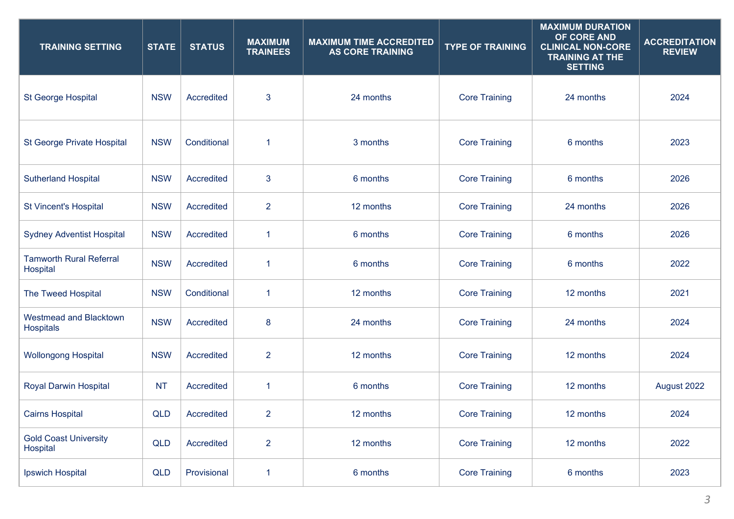| <b>TRAINING SETTING</b>                    | <b>STATE</b> | <b>STATUS</b> | <b>MAXIMUM</b><br><b>TRAINEES</b> | <b>MAXIMUM TIME ACCREDITED</b><br><b>AS CORE TRAINING</b> | <b>TYPE OF TRAINING</b> | <b>MAXIMUM DURATION</b><br>OF CORE AND<br><b>CLINICAL NON-CORE</b><br><b>TRAINING AT THE</b><br><b>SETTING</b> | <b>ACCREDITATION</b><br><b>REVIEW</b> |
|--------------------------------------------|--------------|---------------|-----------------------------------|-----------------------------------------------------------|-------------------------|----------------------------------------------------------------------------------------------------------------|---------------------------------------|
| <b>St George Hospital</b>                  | <b>NSW</b>   | Accredited    | $\mathbf{3}$                      | 24 months                                                 | <b>Core Training</b>    | 24 months                                                                                                      | 2024                                  |
| <b>St George Private Hospital</b>          | <b>NSW</b>   | Conditional   | $\mathbf{1}$                      | 3 months                                                  | <b>Core Training</b>    | 6 months                                                                                                       | 2023                                  |
| <b>Sutherland Hospital</b>                 | <b>NSW</b>   | Accredited    | $\mathbf{3}$                      | 6 months                                                  | <b>Core Training</b>    | 6 months                                                                                                       | 2026                                  |
| <b>St Vincent's Hospital</b>               | <b>NSW</b>   | Accredited    | $\overline{2}$                    | 12 months                                                 | <b>Core Training</b>    | 24 months                                                                                                      | 2026                                  |
| <b>Sydney Adventist Hospital</b>           | <b>NSW</b>   | Accredited    | 1                                 | 6 months                                                  | <b>Core Training</b>    | 6 months                                                                                                       | 2026                                  |
| <b>Tamworth Rural Referral</b><br>Hospital | <b>NSW</b>   | Accredited    | 1                                 | 6 months                                                  | <b>Core Training</b>    | 6 months                                                                                                       | 2022                                  |
| The Tweed Hospital                         | <b>NSW</b>   | Conditional   | $\mathbf{1}$                      | 12 months                                                 | <b>Core Training</b>    | 12 months                                                                                                      | 2021                                  |
| <b>Westmead and Blacktown</b><br>Hospitals | <b>NSW</b>   | Accredited    | 8                                 | 24 months                                                 | <b>Core Training</b>    | 24 months                                                                                                      | 2024                                  |
| <b>Wollongong Hospital</b>                 | <b>NSW</b>   | Accredited    | $\overline{2}$                    | 12 months                                                 | <b>Core Training</b>    | 12 months                                                                                                      | 2024                                  |
| <b>Royal Darwin Hospital</b>               | <b>NT</b>    | Accredited    | 1                                 | 6 months                                                  | <b>Core Training</b>    | 12 months                                                                                                      | August 2022                           |
| <b>Cairns Hospital</b>                     | <b>QLD</b>   | Accredited    | $\overline{2}$                    | 12 months                                                 | <b>Core Training</b>    | 12 months                                                                                                      | 2024                                  |
| <b>Gold Coast University</b><br>Hospital   | <b>QLD</b>   | Accredited    | $\overline{2}$                    | 12 months                                                 | <b>Core Training</b>    | 12 months                                                                                                      | 2022                                  |
| Ipswich Hospital                           | <b>QLD</b>   | Provisional   | 1                                 | 6 months                                                  | <b>Core Training</b>    | 6 months                                                                                                       | 2023                                  |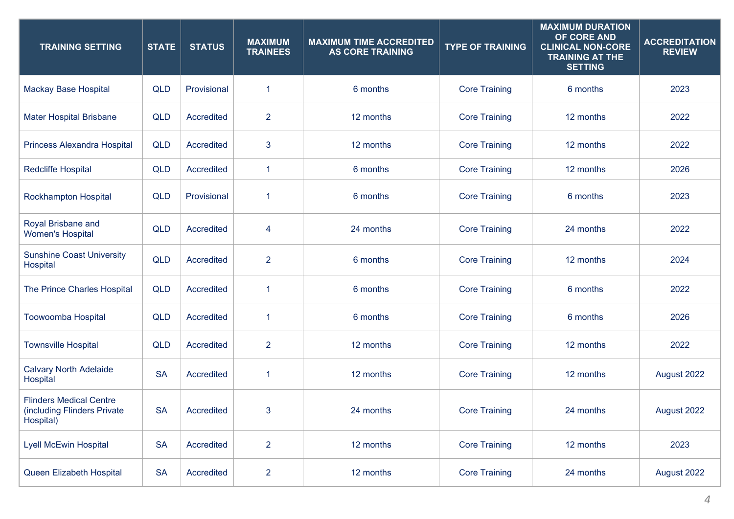| <b>TRAINING SETTING</b>                                                    | <b>STATE</b> | <b>STATUS</b> | <b>MAXIMUM</b><br><b>TRAINEES</b> | <b>MAXIMUM TIME ACCREDITED</b><br><b>AS CORE TRAINING</b> | <b>TYPE OF TRAINING</b> | <b>MAXIMUM DURATION</b><br>OF CORE AND<br><b>CLINICAL NON-CORE</b><br><b>TRAINING AT THE</b><br><b>SETTING</b> | <b>ACCREDITATION</b><br><b>REVIEW</b> |
|----------------------------------------------------------------------------|--------------|---------------|-----------------------------------|-----------------------------------------------------------|-------------------------|----------------------------------------------------------------------------------------------------------------|---------------------------------------|
| <b>Mackay Base Hospital</b>                                                | <b>QLD</b>   | Provisional   | 1                                 | 6 months                                                  | <b>Core Training</b>    | 6 months                                                                                                       | 2023                                  |
| <b>Mater Hospital Brisbane</b>                                             | <b>QLD</b>   | Accredited    | $\overline{2}$                    | 12 months                                                 | <b>Core Training</b>    | 12 months                                                                                                      | 2022                                  |
| Princess Alexandra Hospital                                                | <b>QLD</b>   | Accredited    | 3                                 | 12 months                                                 | <b>Core Training</b>    | 12 months                                                                                                      | 2022                                  |
| <b>Redcliffe Hospital</b>                                                  | <b>QLD</b>   | Accredited    | 1                                 | 6 months                                                  | <b>Core Training</b>    | 12 months                                                                                                      | 2026                                  |
| <b>Rockhampton Hospital</b>                                                | <b>QLD</b>   | Provisional   | 1                                 | 6 months                                                  | <b>Core Training</b>    | 6 months                                                                                                       | 2023                                  |
| Royal Brisbane and<br><b>Women's Hospital</b>                              | <b>QLD</b>   | Accredited    | 4                                 | 24 months                                                 | <b>Core Training</b>    | 24 months                                                                                                      | 2022                                  |
| <b>Sunshine Coast University</b><br>Hospital                               | <b>QLD</b>   | Accredited    | $\overline{2}$                    | 6 months                                                  | <b>Core Training</b>    | 12 months                                                                                                      | 2024                                  |
| The Prince Charles Hospital                                                | <b>QLD</b>   | Accredited    | 1                                 | 6 months                                                  | <b>Core Training</b>    | 6 months                                                                                                       | 2022                                  |
| <b>Toowoomba Hospital</b>                                                  | <b>QLD</b>   | Accredited    | 1                                 | 6 months                                                  | <b>Core Training</b>    | 6 months                                                                                                       | 2026                                  |
| <b>Townsville Hospital</b>                                                 | <b>QLD</b>   | Accredited    | $\overline{2}$                    | 12 months                                                 | <b>Core Training</b>    | 12 months                                                                                                      | 2022                                  |
| <b>Calvary North Adelaide</b><br>Hospital                                  | <b>SA</b>    | Accredited    | 1                                 | 12 months                                                 | <b>Core Training</b>    | 12 months                                                                                                      | August 2022                           |
| <b>Flinders Medical Centre</b><br>(including Flinders Private<br>Hospital) | <b>SA</b>    | Accredited    | 3                                 | 24 months                                                 | <b>Core Training</b>    | 24 months                                                                                                      | August 2022                           |
| <b>Lyell McEwin Hospital</b>                                               | <b>SA</b>    | Accredited    | $\overline{2}$                    | 12 months                                                 | <b>Core Training</b>    | 12 months                                                                                                      | 2023                                  |
| Queen Elizabeth Hospital                                                   | <b>SA</b>    | Accredited    | $\overline{2}$                    | 12 months                                                 | <b>Core Training</b>    | 24 months                                                                                                      | August 2022                           |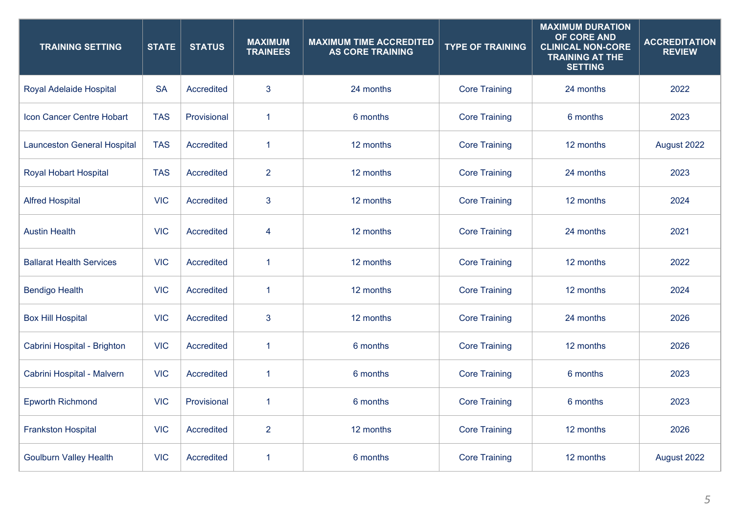| <b>TRAINING SETTING</b>            | <b>STATE</b> | <b>STATUS</b> | <b>MAXIMUM</b><br><b>TRAINEES</b> | <b>MAXIMUM TIME ACCREDITED</b><br><b>AS CORE TRAINING</b> | <b>TYPE OF TRAINING</b> | <b>MAXIMUM DURATION</b><br>OF CORE AND<br><b>CLINICAL NON-CORE</b><br><b>TRAINING AT THE</b><br><b>SETTING</b> | <b>ACCREDITATION</b><br><b>REVIEW</b> |
|------------------------------------|--------------|---------------|-----------------------------------|-----------------------------------------------------------|-------------------------|----------------------------------------------------------------------------------------------------------------|---------------------------------------|
| Royal Adelaide Hospital            | <b>SA</b>    | Accredited    | 3                                 | 24 months                                                 | <b>Core Training</b>    | 24 months                                                                                                      | 2022                                  |
| Icon Cancer Centre Hobart          | <b>TAS</b>   | Provisional   | $\mathbf{1}$                      | 6 months                                                  | <b>Core Training</b>    | 6 months                                                                                                       | 2023                                  |
| <b>Launceston General Hospital</b> | <b>TAS</b>   | Accredited    | $\mathbf{1}$                      | 12 months                                                 | <b>Core Training</b>    | 12 months                                                                                                      | August 2022                           |
| <b>Royal Hobart Hospital</b>       | <b>TAS</b>   | Accredited    | $\overline{2}$                    | 12 months                                                 | <b>Core Training</b>    | 24 months                                                                                                      | 2023                                  |
| <b>Alfred Hospital</b>             | <b>VIC</b>   | Accredited    | 3                                 | 12 months                                                 | <b>Core Training</b>    | 12 months                                                                                                      | 2024                                  |
| <b>Austin Health</b>               | <b>VIC</b>   | Accredited    | 4                                 | 12 months                                                 | <b>Core Training</b>    | 24 months                                                                                                      | 2021                                  |
| <b>Ballarat Health Services</b>    | <b>VIC</b>   | Accredited    | 1                                 | 12 months                                                 | <b>Core Training</b>    | 12 months                                                                                                      | 2022                                  |
| <b>Bendigo Health</b>              | <b>VIC</b>   | Accredited    | 1                                 | 12 months                                                 | <b>Core Training</b>    | 12 months                                                                                                      | 2024                                  |
| <b>Box Hill Hospital</b>           | <b>VIC</b>   | Accredited    | 3                                 | 12 months                                                 | <b>Core Training</b>    | 24 months                                                                                                      | 2026                                  |
| Cabrini Hospital - Brighton        | <b>VIC</b>   | Accredited    | $\mathbf{1}$                      | 6 months                                                  | <b>Core Training</b>    | 12 months                                                                                                      | 2026                                  |
| Cabrini Hospital - Malvern         | <b>VIC</b>   | Accredited    | 1                                 | 6 months                                                  | <b>Core Training</b>    | 6 months                                                                                                       | 2023                                  |
| <b>Epworth Richmond</b>            | <b>VIC</b>   | Provisional   | 1                                 | 6 months                                                  | <b>Core Training</b>    | 6 months                                                                                                       | 2023                                  |
| <b>Frankston Hospital</b>          | <b>VIC</b>   | Accredited    | $\overline{2}$                    | 12 months                                                 | <b>Core Training</b>    | 12 months                                                                                                      | 2026                                  |
| <b>Goulburn Valley Health</b>      | <b>VIC</b>   | Accredited    | 1                                 | 6 months                                                  | <b>Core Training</b>    | 12 months                                                                                                      | August 2022                           |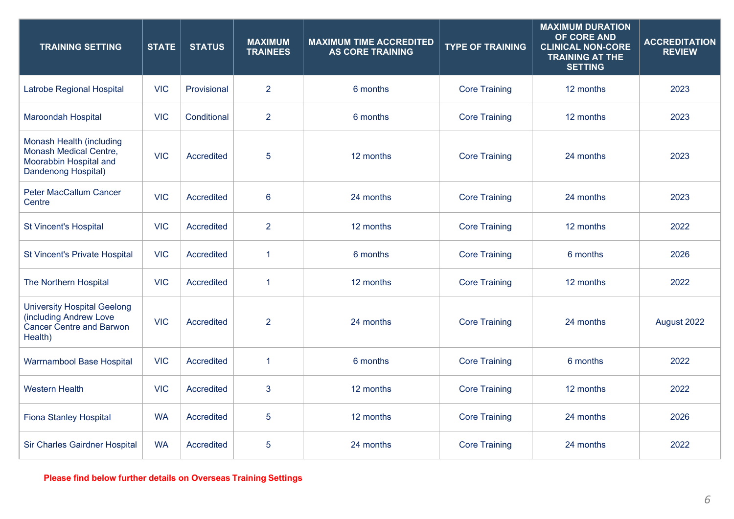| <b>TRAINING SETTING</b>                                                                                    | <b>STATE</b> | <b>STATUS</b> | <b>MAXIMUM</b><br><b>TRAINEES</b> | <b>MAXIMUM TIME ACCREDITED</b><br><b>AS CORE TRAINING</b> | <b>TYPE OF TRAINING</b> | <b>MAXIMUM DURATION</b><br>OF CORE AND<br><b>CLINICAL NON-CORE</b><br><b>TRAINING AT THE</b><br><b>SETTING</b> | <b>ACCREDITATION</b><br><b>REVIEW</b> |
|------------------------------------------------------------------------------------------------------------|--------------|---------------|-----------------------------------|-----------------------------------------------------------|-------------------------|----------------------------------------------------------------------------------------------------------------|---------------------------------------|
| Latrobe Regional Hospital                                                                                  | <b>VIC</b>   | Provisional   | $\overline{2}$                    | 6 months                                                  | <b>Core Training</b>    | 12 months                                                                                                      | 2023                                  |
| <b>Maroondah Hospital</b>                                                                                  | <b>VIC</b>   | Conditional   | $\overline{2}$                    | 6 months                                                  | <b>Core Training</b>    | 12 months                                                                                                      | 2023                                  |
| Monash Health (including<br><b>Monash Medical Centre,</b><br>Moorabbin Hospital and<br>Dandenong Hospital) | <b>VIC</b>   | Accredited    | 5                                 | 12 months                                                 | <b>Core Training</b>    | 24 months                                                                                                      | 2023                                  |
| <b>Peter MacCallum Cancer</b><br>Centre                                                                    | <b>VIC</b>   | Accredited    | 6                                 | 24 months                                                 | <b>Core Training</b>    | 24 months                                                                                                      | 2023                                  |
| <b>St Vincent's Hospital</b>                                                                               | <b>VIC</b>   | Accredited    | $\overline{2}$                    | 12 months                                                 | <b>Core Training</b>    | 12 months                                                                                                      | 2022                                  |
| <b>St Vincent's Private Hospital</b>                                                                       | <b>VIC</b>   | Accredited    | 1                                 | 6 months                                                  | <b>Core Training</b>    | 6 months                                                                                                       | 2026                                  |
| The Northern Hospital                                                                                      | <b>VIC</b>   | Accredited    | 1                                 | 12 months                                                 | <b>Core Training</b>    | 12 months                                                                                                      | 2022                                  |
| <b>University Hospital Geelong</b><br>(including Andrew Love<br><b>Cancer Centre and Barwon</b><br>Health) | <b>VIC</b>   | Accredited    | $\overline{2}$                    | 24 months                                                 | <b>Core Training</b>    | 24 months                                                                                                      | August 2022                           |
| <b>Warrnambool Base Hospital</b>                                                                           | <b>VIC</b>   | Accredited    | 1                                 | 6 months                                                  | <b>Core Training</b>    | 6 months                                                                                                       | 2022                                  |
| <b>Western Health</b>                                                                                      | <b>VIC</b>   | Accredited    | 3                                 | 12 months                                                 | <b>Core Training</b>    | 12 months                                                                                                      | 2022                                  |
| <b>Fiona Stanley Hospital</b>                                                                              | <b>WA</b>    | Accredited    | 5                                 | 12 months                                                 | <b>Core Training</b>    | 24 months                                                                                                      | 2026                                  |
| Sir Charles Gairdner Hospital                                                                              | <b>WA</b>    | Accredited    | 5                                 | 24 months                                                 | <b>Core Training</b>    | 24 months                                                                                                      | 2022                                  |

**Please find below further details on Overseas Training Settings**